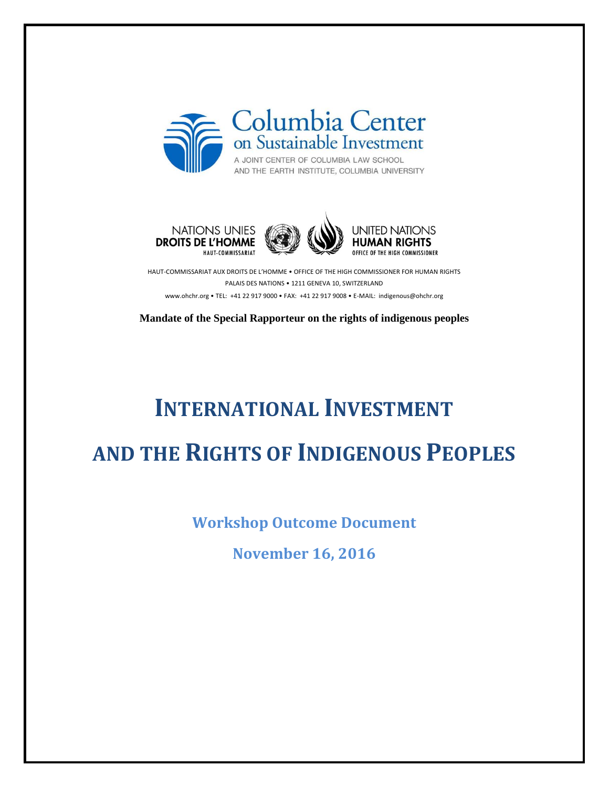







HAUT-COMMISSARIAT AUX DROITS DE L'HOMME • OFFICE OF THE HIGH COMMISSIONER FOR HUMAN RIGHTS PALAIS DES NATIONS • 1211 GENEVA 10, SWITZERLAND www.ohchr.org • TEL: +41 22 917 9000 • FAX: +41 22 917 9008 • E-MAIL: indigenous@ohchr.org

**Mandate of the Special Rapporteur on the rights of indigenous peoples**

# **INTERNATIONAL INVESTMENT AND THE RIGHTS OF INDIGENOUS PEOPLES**

**Workshop Outcome Document**

**November 16, 2016**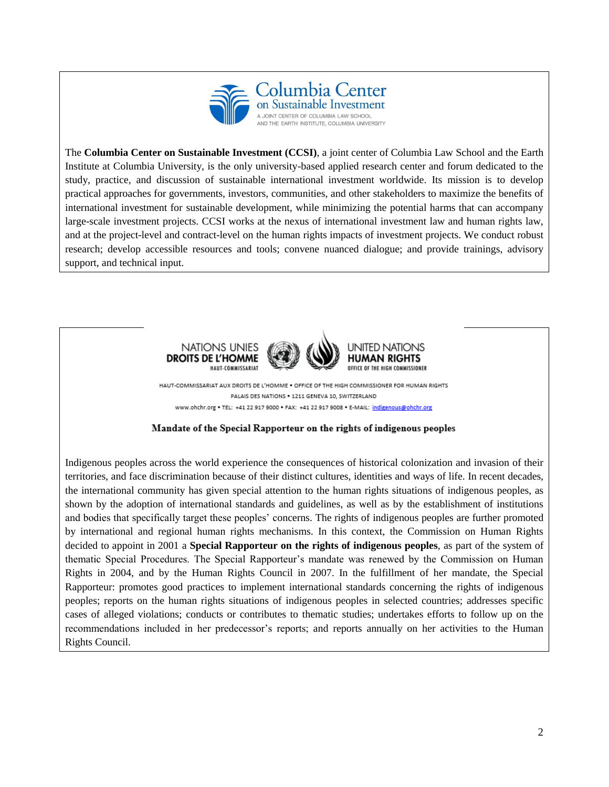

The **Columbia Center on Sustainable Investment (CCSI)**, a joint center of Columbia Law School and the Earth Institute at Columbia University, is the only university-based applied research center and forum dedicated to the study, practice, and discussion of sustainable international investment worldwide. Its mission is to develop practical approaches for governments, investors, communities, and other stakeholders to maximize the benefits of international investment for sustainable development, while minimizing the potential harms that can accompany large-scale investment projects. CCSI works at the nexus of international investment law and human rights law, and at the project-level and contract-level on the human rights impacts of investment projects. We conduct robust research; develop accessible resources and tools; convene nuanced dialogue; and provide trainings, advisory support, and technical input.



HAUT-COMMISSARIAT AUX DROITS DE L'HOMME . OFFICE OF THE HIGH COMMISSIONER FOR HUMAN RIGHTS PALAIS DES NATIONS . 1211 GENEVA 10, SWITZERLAND www.ohchr.org . TEL: +41 22 917 9000 . FAX: +41 22 917 9008 . E-MAIL: indigenous@ohchr.org

#### Mandate of the Special Rapporteur on the rights of indigenous peoples

Indigenous peoples across the world experience the consequences of historical colonization and invasion of their territories, and face discrimination because of their distinct cultures, identities and ways of life. In recent decades, the international community has given special attention to the human rights situations of indigenous peoples, as shown by the adoption of international standards and guidelines, as well as by the establishment of institutions and bodies that specifically target these peoples' concerns. The rights of indigenous peoples are further promoted by international and regional human rights mechanisms. In this context, the Commission on Human Rights decided to appoint in 2001 a **Special Rapporteur on the rights of indigenous peoples**, as part of the system of thematic Special Procedures. The Special Rapporteur's mandate was renewed by the Commission on Human Rights in 2004, and by the Human Rights Council in 2007. In the fulfillment of her mandate, the Special Rapporteur: promotes good practices to implement international standards concerning the rights of indigenous peoples; reports on the human rights situations of indigenous peoples in selected countries; addresses specific cases of alleged violations; conducts or contributes to thematic studies; undertakes efforts to follow up on the recommendations included in her predecessor's reports; and reports annually on her activities to the Human Rights Council.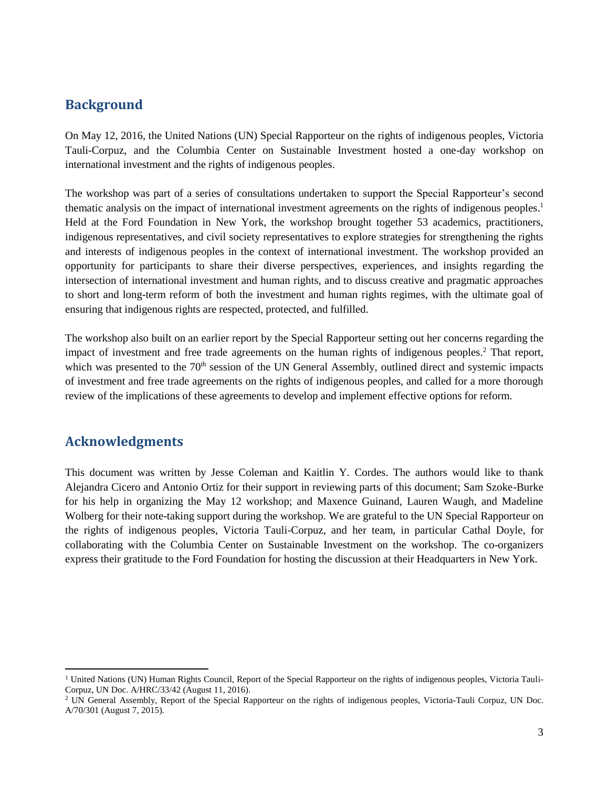# **Background**

On May 12, 2016, the United Nations (UN) Special Rapporteur on the rights of indigenous peoples, Victoria Tauli-Corpuz, and the Columbia Center on Sustainable Investment hosted a one-day workshop on international investment and the rights of indigenous peoples.

The workshop was part of a series of consultations undertaken to support the Special Rapporteur's second thematic analysis on the impact of international investment agreements on the rights of indigenous peoples. 1 Held at the Ford Foundation in New York, the workshop brought together 53 academics, practitioners, indigenous representatives, and civil society representatives to explore strategies for strengthening the rights and interests of indigenous peoples in the context of international investment. The workshop provided an opportunity for participants to share their diverse perspectives, experiences, and insights regarding the intersection of international investment and human rights, and to discuss creative and pragmatic approaches to short and long-term reform of both the investment and human rights regimes, with the ultimate goal of ensuring that indigenous rights are respected, protected, and fulfilled.

The workshop also built on an earlier report by the Special Rapporteur setting out her concerns regarding the impact of investment and free trade agreements on the human rights of indigenous peoples.<sup>2</sup> That report, which was presented to the  $70<sup>th</sup>$  session of the UN General Assembly, outlined direct and systemic impacts of investment and free trade agreements on the rights of indigenous peoples, and called for a more thorough review of the implications of these agreements to develop and implement effective options for reform.

# **Acknowledgments**

 $\overline{a}$ 

This document was written by Jesse Coleman and Kaitlin Y. Cordes. The authors would like to thank Alejandra Cicero and Antonio Ortiz for their support in reviewing parts of this document; Sam Szoke-Burke for his help in organizing the May 12 workshop; and Maxence Guinand, Lauren Waugh, and Madeline Wolberg for their note-taking support during the workshop. We are grateful to the UN Special Rapporteur on the rights of indigenous peoples, Victoria Tauli-Corpuz, and her team, in particular Cathal Doyle, for collaborating with the Columbia Center on Sustainable Investment on the workshop. The co-organizers express their gratitude to the Ford Foundation for hosting the discussion at their Headquarters in New York.

<sup>&</sup>lt;sup>1</sup> United Nations (UN) Human Rights Council, Report of the Special Rapporteur on the rights of indigenous peoples, Victoria Tauli-Corpuz, UN Doc. A/HRC/33/42 (August 11, 2016).

<sup>&</sup>lt;sup>2</sup> UN General Assembly, Report of the Special Rapporteur on the rights of indigenous peoples, Victoria-Tauli Corpuz, UN Doc. A/70/301 (August 7, 2015).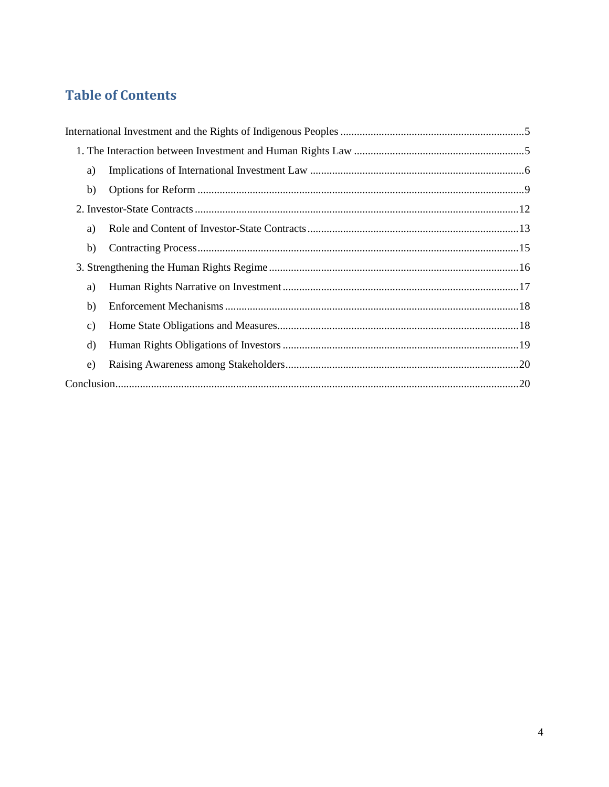# **Table of Contents**

| a)           |  |  |
|--------------|--|--|
| b)           |  |  |
|              |  |  |
| a)           |  |  |
| b)           |  |  |
|              |  |  |
| a)           |  |  |
| b)           |  |  |
| $\mathbf{c}$ |  |  |
| $\rm d$      |  |  |
| e)           |  |  |
|              |  |  |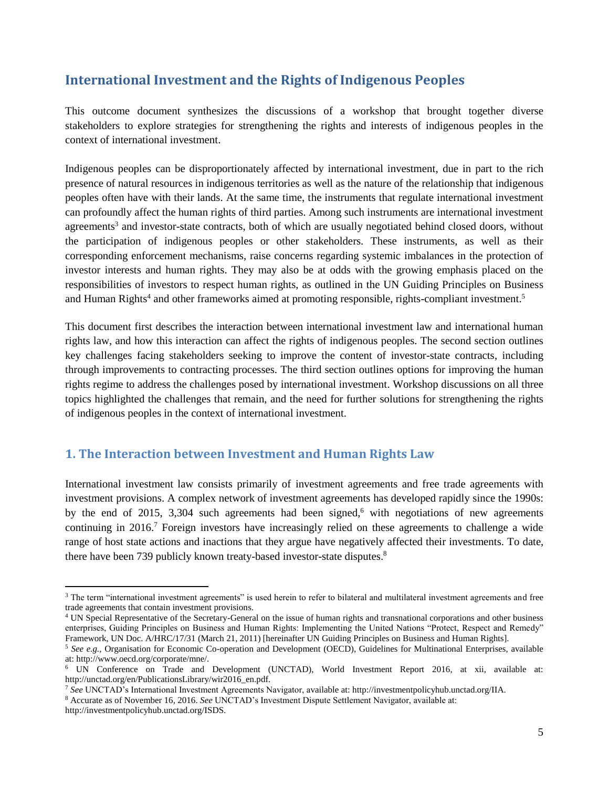# <span id="page-4-0"></span>**International Investment and the Rights of Indigenous Peoples**

This outcome document synthesizes the discussions of a workshop that brought together diverse stakeholders to explore strategies for strengthening the rights and interests of indigenous peoples in the context of international investment.

Indigenous peoples can be disproportionately affected by international investment, due in part to the rich presence of natural resources in indigenous territories as well as the nature of the relationship that indigenous peoples often have with their lands. At the same time, the instruments that regulate international investment can profoundly affect the human rights of third parties. Among such instruments are international investment agreements<sup>3</sup> and investor-state contracts, both of which are usually negotiated behind closed doors, without the participation of indigenous peoples or other stakeholders. These instruments, as well as their corresponding enforcement mechanisms, raise concerns regarding systemic imbalances in the protection of investor interests and human rights. They may also be at odds with the growing emphasis placed on the responsibilities of investors to respect human rights, as outlined in the UN Guiding Principles on Business and Human Rights<sup>4</sup> and other frameworks aimed at promoting responsible, rights-compliant investment.<sup>5</sup>

This document first describes the interaction between international investment law and international human rights law, and how this interaction can affect the rights of indigenous peoples. The second section outlines key challenges facing stakeholders seeking to improve the content of investor-state contracts, including through improvements to contracting processes. The third section outlines options for improving the human rights regime to address the challenges posed by international investment. Workshop discussions on all three topics highlighted the challenges that remain, and the need for further solutions for strengthening the rights of indigenous peoples in the context of international investment.

# <span id="page-4-1"></span>**1. The Interaction between Investment and Human Rights Law**

International investment law consists primarily of investment agreements and free trade agreements with investment provisions. A complex network of investment agreements has developed rapidly since the 1990s: by the end of 2015, 3,304 such agreements had been signed,<sup>6</sup> with negotiations of new agreements continuing in 2016.<sup>7</sup> Foreign investors have increasingly relied on these agreements to challenge a wide range of host state actions and inactions that they argue have negatively affected their investments. To date, there have been 739 publicly known treaty-based investor-state disputes. 8

<sup>8</sup> Accurate as of November 16, 2016. *See* UNCTAD's Investment Dispute Settlement Navigator, available at:

 $\ddot{\phantom{a}}$ 

<sup>&</sup>lt;sup>3</sup> The term "international investment agreements" is used herein to refer to bilateral and multilateral investment agreements and free trade agreements that contain investment provisions.

<sup>4</sup> UN Special Representative of the Secretary-General on the issue of human rights and transnational corporations and other business enterprises, Guiding Principles on Business and Human Rights: Implementing the United Nations "Protect, Respect and Remedy" Framework, UN Doc. A/HRC/17/31 (March 21, 2011) [hereinafter UN Guiding Principles on Business and Human Rights].

<sup>5</sup> *See e.g.,* Organisation for Economic Co-operation and Development (OECD), Guidelines for Multinational Enterprises, available at: http://www.oecd.org/corporate/mne/.

<sup>6</sup> UN Conference on Trade and Development (UNCTAD), World Investment Report 2016, at xii, available at: http://unctad.org/en/PublicationsLibrary/wir2016\_en.pdf.

<sup>7</sup> *See* UNCTAD's International Investment Agreements Navigator, available at: http://investmentpolicyhub.unctad.org/IIA.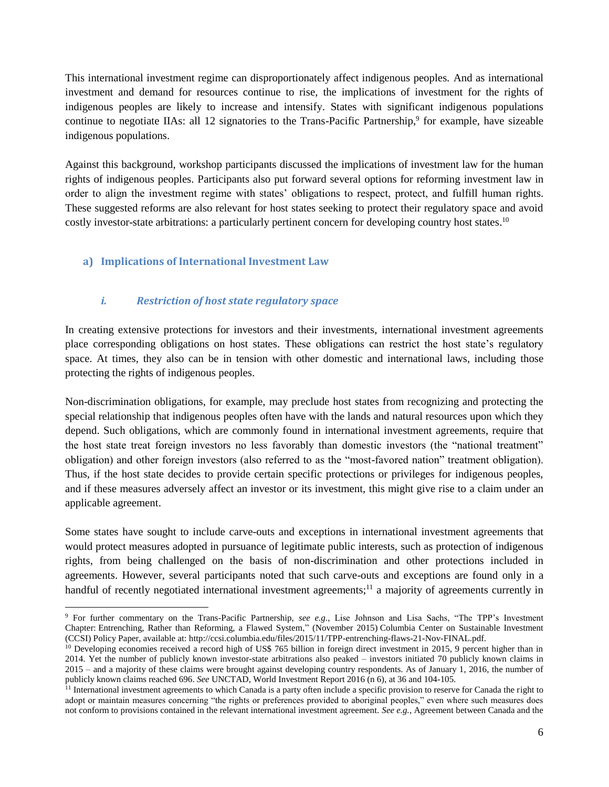This international investment regime can disproportionately affect indigenous peoples. And as international investment and demand for resources continue to rise, the implications of investment for the rights of indigenous peoples are likely to increase and intensify. States with significant indigenous populations continue to negotiate IIAs: all 12 signatories to the Trans-Pacific Partnership,<sup>9</sup> for example, have sizeable indigenous populations.

Against this background, workshop participants discussed the implications of investment law for the human rights of indigenous peoples. Participants also put forward several options for reforming investment law in order to align the investment regime with states' obligations to respect, protect, and fulfill human rights. These suggested reforms are also relevant for host states seeking to protect their regulatory space and avoid costly investor-state arbitrations: a particularly pertinent concern for developing country host states.<sup>10</sup>

# <span id="page-5-0"></span>**a) Implications of International Investment Law**

 $\overline{a}$ 

# *i. Restriction of host state regulatory space*

In creating extensive protections for investors and their investments, international investment agreements place corresponding obligations on host states. These obligations can restrict the host state's regulatory space. At times, they also can be in tension with other domestic and international laws, including those protecting the rights of indigenous peoples.

Non-discrimination obligations, for example, may preclude host states from recognizing and protecting the special relationship that indigenous peoples often have with the lands and natural resources upon which they depend. Such obligations, which are commonly found in international investment agreements, require that the host state treat foreign investors no less favorably than domestic investors (the "national treatment" obligation) and other foreign investors (also referred to as the "most-favored nation" treatment obligation). Thus, if the host state decides to provide certain specific protections or privileges for indigenous peoples, and if these measures adversely affect an investor or its investment, this might give rise to a claim under an applicable agreement.

Some states have sought to include carve-outs and exceptions in international investment agreements that would protect measures adopted in pursuance of legitimate public interests, such as protection of indigenous rights, from being challenged on the basis of non-discrimination and other protections included in agreements. However, several participants noted that such carve-outs and exceptions are found only in a handful of recently negotiated international investment agreements;<sup>11</sup> a majority of agreements currently in

<sup>9</sup> For further commentary on the Trans-Pacific Partnership, *see e.g.,* Lise Johnson and Lisa Sachs, "The TPP's Investment Chapter: Entrenching, Rather than Reforming, a Flawed System," (November 2015) Columbia Center on Sustainable Investment (CCSI) Policy Paper, available at: http://ccsi.columbia.edu/files/2015/11/TPP-entrenching-flaws-21-Nov-FINAL.pdf.

<sup>&</sup>lt;sup>10</sup> Developing economies received a record high of US\$ 765 billion in foreign direct investment in 2015, 9 percent higher than in 2014. Yet the number of publicly known investor-state arbitrations also peaked – investors initiated 70 publicly known claims in 2015 – and a majority of these claims were brought against developing country respondents. As of January 1, 2016, the number of publicly known claims reached 696. *See* UNCTAD, World Investment Report 2016 (n 6), at 36 and 104-105.

<sup>&</sup>lt;sup>11</sup> International investment agreements to which Canada is a party often include a specific provision to reserve for Canada the right to adopt or maintain measures concerning "the rights or preferences provided to aboriginal peoples," even where such measures does not conform to provisions contained in the relevant international investment agreement. *See e.g.*, Agreement between Canada and the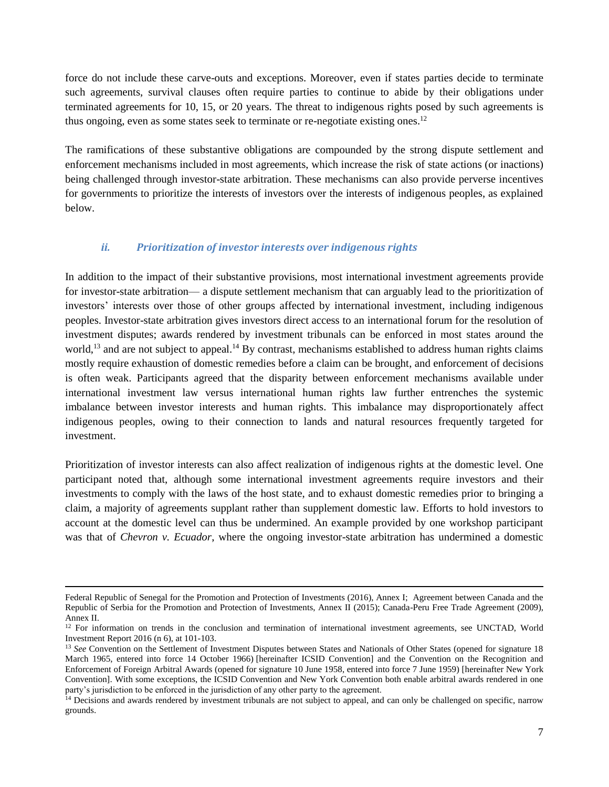force do not include these carve-outs and exceptions. Moreover, even if states parties decide to terminate such agreements, survival clauses often require parties to continue to abide by their obligations under terminated agreements for 10, 15, or 20 years. The threat to indigenous rights posed by such agreements is thus ongoing, even as some states seek to terminate or re-negotiate existing ones. 12

The ramifications of these substantive obligations are compounded by the strong dispute settlement and enforcement mechanisms included in most agreements, which increase the risk of state actions (or inactions) being challenged through investor-state arbitration. These mechanisms can also provide perverse incentives for governments to prioritize the interests of investors over the interests of indigenous peoples, as explained below.

#### *ii. Prioritization of investor interests over indigenous rights*

In addition to the impact of their substantive provisions, most international investment agreements provide for investor-state arbitration— a dispute settlement mechanism that can arguably lead to the prioritization of investors' interests over those of other groups affected by international investment, including indigenous peoples. Investor-state arbitration gives investors direct access to an international forum for the resolution of investment disputes; awards rendered by investment tribunals can be enforced in most states around the world,<sup>13</sup> and are not subject to appeal.<sup>14</sup> By contrast, mechanisms established to address human rights claims mostly require exhaustion of domestic remedies before a claim can be brought, and enforcement of decisions is often weak. Participants agreed that the disparity between enforcement mechanisms available under international investment law versus international human rights law further entrenches the systemic imbalance between investor interests and human rights. This imbalance may disproportionately affect indigenous peoples, owing to their connection to lands and natural resources frequently targeted for investment.

Prioritization of investor interests can also affect realization of indigenous rights at the domestic level. One participant noted that, although some international investment agreements require investors and their investments to comply with the laws of the host state, and to exhaust domestic remedies prior to bringing a claim, a majority of agreements supplant rather than supplement domestic law. Efforts to hold investors to account at the domestic level can thus be undermined. An example provided by one workshop participant was that of *Chevron v. Ecuador*, where the ongoing investor-state arbitration has undermined a domestic

1

Federal Republic of Senegal for the Promotion and Protection of Investments (2016), Annex I; Agreement between Canada and the Republic of Serbia for the Promotion and Protection of Investments, Annex II (2015); Canada-Peru Free Trade Agreement (2009), Annex II.

<sup>&</sup>lt;sup>12</sup> For information on trends in the conclusion and termination of international investment agreements, see UNCTAD, World Investment Report 2016 (n 6), at 101-103.

<sup>&</sup>lt;sup>13</sup> *See* Convention on the Settlement of Investment Disputes between States and Nationals of Other States (opened for signature 18 March 1965, entered into force 14 October 1966) [hereinafter ICSID Convention] and the Convention on the Recognition and Enforcement of Foreign Arbitral Awards (opened for signature 10 June 1958, entered into force 7 June 1959) [hereinafter New York Convention]. With some exceptions, the ICSID Convention and New York Convention both enable arbitral awards rendered in one party's jurisdiction to be enforced in the jurisdiction of any other party to the agreement.

<sup>&</sup>lt;sup>14</sup> Decisions and awards rendered by investment tribunals are not subject to appeal, and can only be challenged on specific, narrow grounds.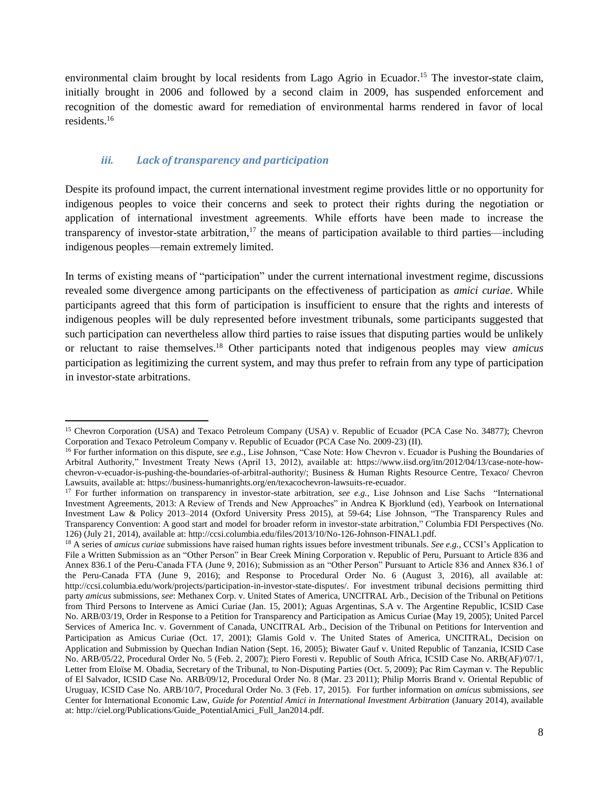environmental claim brought by local residents from Lago Agrio in Ecuador.<sup>15</sup> The investor-state claim, initially brought in 2006 and followed by a second claim in 2009, has suspended enforcement and recognition of the domestic award for remediation of environmental harms rendered in favor of local residents.<sup>16</sup>

#### *iii. Lack of transparency and participation*

Despite its profound impact, the current international investment regime provides little or no opportunity for indigenous peoples to voice their concerns and seek to protect their rights during the negotiation or application of international investment agreements. While efforts have been made to increase the transparency of investor-state arbitration,<sup>17</sup> the means of participation available to third parties—including indigenous peoples—remain extremely limited.

In terms of existing means of "participation" under the current international investment regime, discussions revealed some divergence among participants on the effectiveness of participation as *amici curiae*. While participants agreed that this form of participation is insufficient to ensure that the rights and interests of indigenous peoples will be duly represented before investment tribunals, some participants suggested that such participation can nevertheless allow third parties to raise issues that disputing parties would be unlikely or reluctant to raise themselves. <sup>18</sup> Other participants noted that indigenous peoples may view *amicus* participation as legitimizing the current system, and may thus prefer to refrain from any type of participation in investor-state arbitrations.

 $\overline{a}$ <sup>15</sup> Chevron Corporation (USA) and Texaco Petroleum Company (USA) v. Republic of Ecuador (PCA Case No. 34877); Chevron Corporation and Texaco Petroleum Company v. Republic of Ecuador (PCA Case No. 2009-23) (II).

<sup>16</sup> For further information on this dispute, *see e.g.,* Lise Johnson, "Case Note: How Chevron v. Ecuador is Pushing the Boundaries of Arbitral Authority," Investment Treaty News (April 13, 2012), available at: https://www.iisd.org/itn/2012/04/13/case-note-howchevron-v-ecuador-is-pushing-the-boundaries-of-arbitral-authority/; Business & Human Rights Resource Centre, Texaco/ Chevron Lawsuits, available at: https://business-humanrights.org/en/texacochevron-lawsuits-re-ecuador.

<sup>17</sup> For further information on transparency in investor-state arbitration, *see e.g.,* Lise Johnson and Lise Sachs "International Investment Agreements, 2013: A Review of Trends and New Approaches" in Andrea K Bjorklund (ed), Yearbook on International Investment Law & Policy 2013–2014 (Oxford University Press 2015), at 59-64; Lise Johnson, "The Transparency Rules and Transparency Convention: A good start and model for broader reform in investor-state arbitration," Columbia FDI Perspectives (No. 126) (July 21, 2014), available at: http://ccsi.columbia.edu/files/2013/10/No-126-Johnson-FINAL1.pdf.

<sup>18</sup> A series of *amicus curiae* submissions have raised human rights issues before investment tribunals. *See e.g.,* CCSI's Application to File a Written Submission as an "Other Person" in Bear Creek Mining Corporation v. Republic of Peru, Pursuant to Article 836 and Annex 836.1 of the Peru-Canada FTA (June 9, 2016); Submission as an "Other Person" Pursuant to Article 836 and Annex 836.1 of the Peru-Canada FTA (June 9, 2016); and Response to Procedural Order No. 6 (August 3, 2016), all available at: http://ccsi.columbia.edu/work/projects/participation-in-investor-state-disputes/. For investment tribunal decisions permitting third party *amicus* submissions, *see*: Methanex Corp. v. United States of America, UNCITRAL Arb., Decision of the Tribunal on Petitions from Third Persons to Intervene as Amici Curiae (Jan. 15, 2001); Aguas Argentinas, S.A v. The Argentine Republic, ICSID Case No. ARB/03/19, Order in Response to a Petition for Transparency and Participation as Amicus Curiae (May 19, 2005); United Parcel Services of America Inc. v. Government of Canada, UNCITRAL Arb., Decision of the Tribunal on Petitions for Intervention and Participation as Amicus Curiae (Oct. 17, 2001); Glamis Gold v. The United States of America, UNCITRAL, Decision on Application and Submission by Quechan Indian Nation (Sept. 16, 2005); Biwater Gauf v. United Republic of Tanzania, ICSID Case No. ARB/05/22, Procedural Order No. 5 (Feb. 2, 2007); Piero Foresti v. Republic of South Africa, ICSID Case No. ARB(AF)/07/1, Letter from Eloïse M. Obadia, Secretary of the Tribunal, to Non-Disputing Parties (Oct. 5, 2009); Pac Rim Cayman v. The Republic of El Salvador, ICSID Case No. ARB/09/12, Procedural Order No. 8 (Mar. 23 2011); Philip Morris Brand v. Oriental Republic of Uruguay, ICSID Case No. ARB/10/7, Procedural Order No. 3 (Feb. 17, 2015). For further information on *amicus* submissions, *see* Center for International Economic Law, *Guide for Potential Amici in International Investment Arbitration* (January 2014), available at: http://ciel.org/Publications/Guide\_PotentialAmici\_Full\_Jan2014.pdf.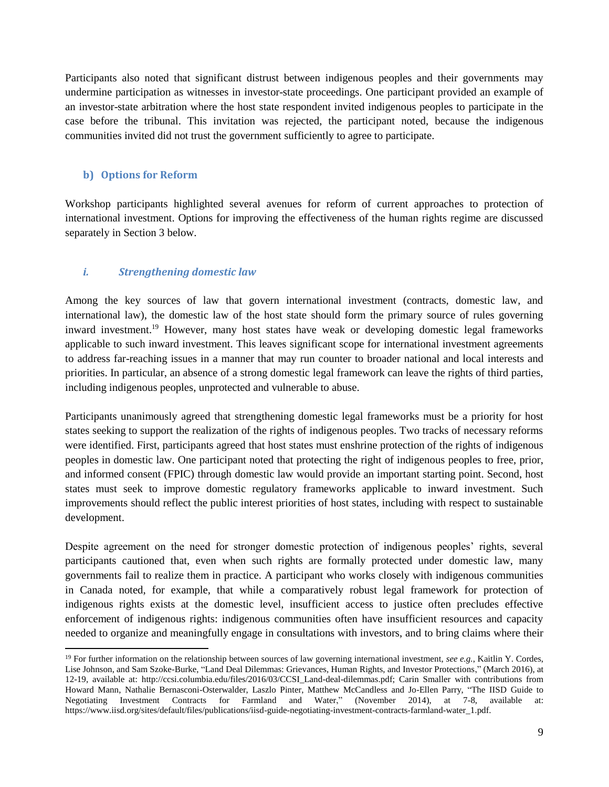Participants also noted that significant distrust between indigenous peoples and their governments may undermine participation as witnesses in investor-state proceedings. One participant provided an example of an investor-state arbitration where the host state respondent invited indigenous peoples to participate in the case before the tribunal. This invitation was rejected, the participant noted, because the indigenous communities invited did not trust the government sufficiently to agree to participate.

# <span id="page-8-0"></span>**b) Options for Reform**

 $\overline{a}$ 

Workshop participants highlighted several avenues for reform of current approaches to protection of international investment. Options for improving the effectiveness of the human rights regime are discussed separately in Section 3 below.

# *i. Strengthening domestic law*

Among the key sources of law that govern international investment (contracts, domestic law, and international law), the domestic law of the host state should form the primary source of rules governing inward investment.<sup>19</sup> However, many host states have weak or developing domestic legal frameworks applicable to such inward investment. This leaves significant scope for international investment agreements to address far-reaching issues in a manner that may run counter to broader national and local interests and priorities. In particular, an absence of a strong domestic legal framework can leave the rights of third parties, including indigenous peoples, unprotected and vulnerable to abuse.

Participants unanimously agreed that strengthening domestic legal frameworks must be a priority for host states seeking to support the realization of the rights of indigenous peoples. Two tracks of necessary reforms were identified. First, participants agreed that host states must enshrine protection of the rights of indigenous peoples in domestic law. One participant noted that protecting the right of indigenous peoples to free, prior, and informed consent (FPIC) through domestic law would provide an important starting point. Second, host states must seek to improve domestic regulatory frameworks applicable to inward investment. Such improvements should reflect the public interest priorities of host states, including with respect to sustainable development.

Despite agreement on the need for stronger domestic protection of indigenous peoples' rights, several participants cautioned that, even when such rights are formally protected under domestic law, many governments fail to realize them in practice. A participant who works closely with indigenous communities in Canada noted, for example, that while a comparatively robust legal framework for protection of indigenous rights exists at the domestic level, insufficient access to justice often precludes effective enforcement of indigenous rights: indigenous communities often have insufficient resources and capacity needed to organize and meaningfully engage in consultations with investors, and to bring claims where their

<sup>19</sup> For further information on the relationship between sources of law governing international investment, *see e.g.*, Kaitlin Y. Cordes, Lise Johnson, and Sam Szoke-Burke, "Land Deal Dilemmas: Grievances, Human Rights, and Investor Protections," (March 2016), at 12-19, available at: http://ccsi.columbia.edu/files/2016/03/CCSI\_Land-deal-dilemmas.pdf; Carin Smaller with contributions from Howard Mann, Nathalie Bernasconi-Osterwalder, Laszlo Pinter, Matthew McCandless and Jo-Ellen Parry, "The IISD Guide to Negotiating Investment Contracts for Farmland and Water," (November 2014), at 7-8, available at: https://www.iisd.org/sites/default/files/publications/iisd-guide-negotiating-investment-contracts-farmland-water\_1.pdf.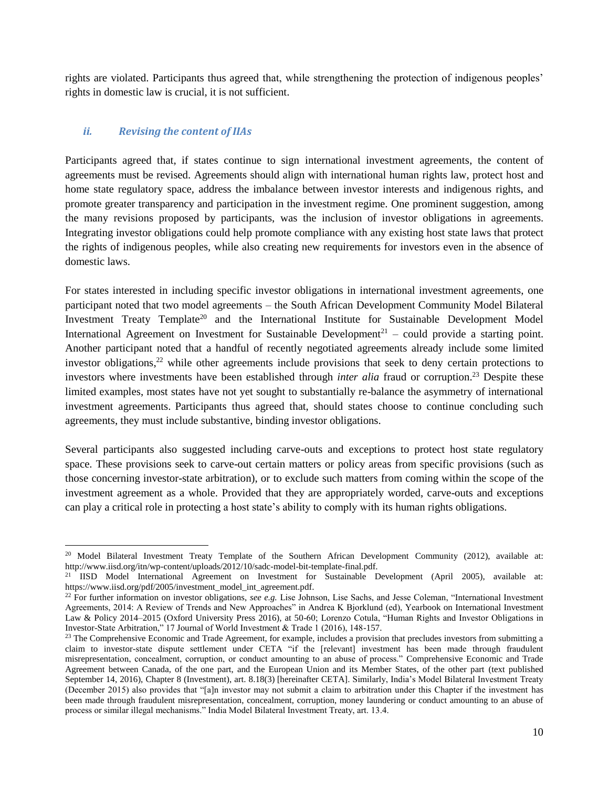rights are violated. Participants thus agreed that, while strengthening the protection of indigenous peoples' rights in domestic law is crucial, it is not sufficient.

### *ii. Revising the content of IIAs*

 $\overline{a}$ 

Participants agreed that, if states continue to sign international investment agreements, the content of agreements must be revised. Agreements should align with international human rights law, protect host and home state regulatory space, address the imbalance between investor interests and indigenous rights, and promote greater transparency and participation in the investment regime. One prominent suggestion, among the many revisions proposed by participants, was the inclusion of investor obligations in agreements. Integrating investor obligations could help promote compliance with any existing host state laws that protect the rights of indigenous peoples, while also creating new requirements for investors even in the absence of domestic laws.

For states interested in including specific investor obligations in international investment agreements, one participant noted that two model agreements – the South African Development Community Model Bilateral Investment Treaty Template<sup>20</sup> and the International Institute for Sustainable Development Model International Agreement on Investment for Sustainable Development<sup>21</sup> – could provide a starting point. Another participant noted that a handful of recently negotiated agreements already include some limited investor obligations, <sup>22</sup> while other agreements include provisions that seek to deny certain protections to investors where investments have been established through *inter alia* fraud or corruption.<sup>23</sup> Despite these limited examples, most states have not yet sought to substantially re-balance the asymmetry of international investment agreements. Participants thus agreed that, should states choose to continue concluding such agreements, they must include substantive, binding investor obligations.

Several participants also suggested including carve-outs and exceptions to protect host state regulatory space. These provisions seek to carve-out certain matters or policy areas from specific provisions (such as those concerning investor-state arbitration), or to exclude such matters from coming within the scope of the investment agreement as a whole. Provided that they are appropriately worded, carve-outs and exceptions can play a critical role in protecting a host state's ability to comply with its human rights obligations.

<sup>&</sup>lt;sup>20</sup> Model Bilateral Investment Treaty Template of the Southern African Development Community (2012), available at: http://www.iisd.org/itn/wp-content/uploads/2012/10/sadc-model-bit-template-final.pdf.

<sup>&</sup>lt;sup>21</sup> IISD Model International Agreement on Investment for Sustainable Development (April 2005), available at: https://www.iisd.org/pdf/2005/investment\_model\_int\_agreement.pdf.

<sup>&</sup>lt;sup>22</sup> For further information on investor obligations, *see e.g.* Lise Johnson, Lise Sachs, and Jesse Coleman, "International Investment" Agreements, 2014: A Review of Trends and New Approaches" in Andrea K Bjorklund (ed), Yearbook on International Investment Law & Policy 2014–2015 (Oxford University Press 2016), at 50-60; Lorenzo Cotula, "Human Rights and Investor Obligations in Investor-State Arbitration," 17 Journal of World Investment & Trade 1 (2016), 148-157.

<sup>&</sup>lt;sup>23</sup> The Comprehensive Economic and Trade Agreement, for example, includes a provision that precludes investors from submitting a claim to investor-state dispute settlement under CETA "if the [relevant] investment has been made through fraudulent misrepresentation, concealment, corruption, or conduct amounting to an abuse of process." Comprehensive Economic and Trade Agreement between Canada, of the one part, and the European Union and its Member States, of the other part (text published September 14, 2016), Chapter 8 (Investment), art. 8.18(3) [hereinafter CETA]. Similarly, India's Model Bilateral Investment Treaty (December 2015) also provides that "[a]n investor may not submit a claim to arbitration under this Chapter if the investment has been made through fraudulent misrepresentation, concealment, corruption, money laundering or conduct amounting to an abuse of process or similar illegal mechanisms." India Model Bilateral Investment Treaty, art. 13.4.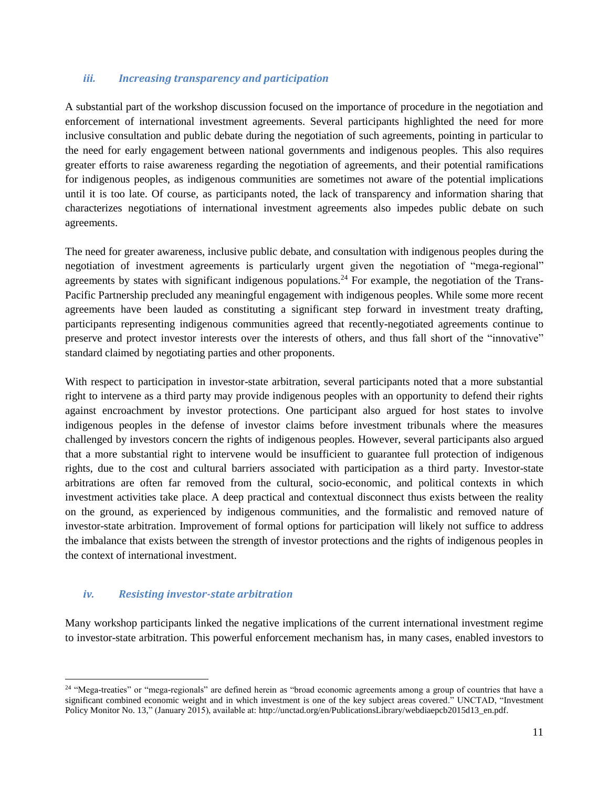#### *iii. Increasing transparency and participation*

A substantial part of the workshop discussion focused on the importance of procedure in the negotiation and enforcement of international investment agreements. Several participants highlighted the need for more inclusive consultation and public debate during the negotiation of such agreements, pointing in particular to the need for early engagement between national governments and indigenous peoples. This also requires greater efforts to raise awareness regarding the negotiation of agreements, and their potential ramifications for indigenous peoples, as indigenous communities are sometimes not aware of the potential implications until it is too late. Of course, as participants noted, the lack of transparency and information sharing that characterizes negotiations of international investment agreements also impedes public debate on such agreements.

The need for greater awareness, inclusive public debate, and consultation with indigenous peoples during the negotiation of investment agreements is particularly urgent given the negotiation of "mega-regional" agreements by states with significant indigenous populations.<sup>24</sup> For example, the negotiation of the Trans-Pacific Partnership precluded any meaningful engagement with indigenous peoples. While some more recent agreements have been lauded as constituting a significant step forward in investment treaty drafting, participants representing indigenous communities agreed that recently-negotiated agreements continue to preserve and protect investor interests over the interests of others, and thus fall short of the "innovative" standard claimed by negotiating parties and other proponents.

With respect to participation in investor-state arbitration, several participants noted that a more substantial right to intervene as a third party may provide indigenous peoples with an opportunity to defend their rights against encroachment by investor protections. One participant also argued for host states to involve indigenous peoples in the defense of investor claims before investment tribunals where the measures challenged by investors concern the rights of indigenous peoples. However, several participants also argued that a more substantial right to intervene would be insufficient to guarantee full protection of indigenous rights, due to the cost and cultural barriers associated with participation as a third party. Investor-state arbitrations are often far removed from the cultural, socio-economic, and political contexts in which investment activities take place. A deep practical and contextual disconnect thus exists between the reality on the ground, as experienced by indigenous communities, and the formalistic and removed nature of investor-state arbitration. Improvement of formal options for participation will likely not suffice to address the imbalance that exists between the strength of investor protections and the rights of indigenous peoples in the context of international investment.

#### *iv. Resisting investor-state arbitration*

 $\overline{a}$ 

Many workshop participants linked the negative implications of the current international investment regime to investor-state arbitration. This powerful enforcement mechanism has, in many cases, enabled investors to

<sup>&</sup>lt;sup>24</sup> "Mega-treaties" or "mega-regionals" are defined herein as "broad economic agreements among a group of countries that have a significant combined economic weight and in which investment is one of the key subject areas covered." UNCTAD, "Investment Policy Monitor No. 13," (January 2015), available at: http://unctad.org/en/PublicationsLibrary/webdiaepcb2015d13\_en.pdf.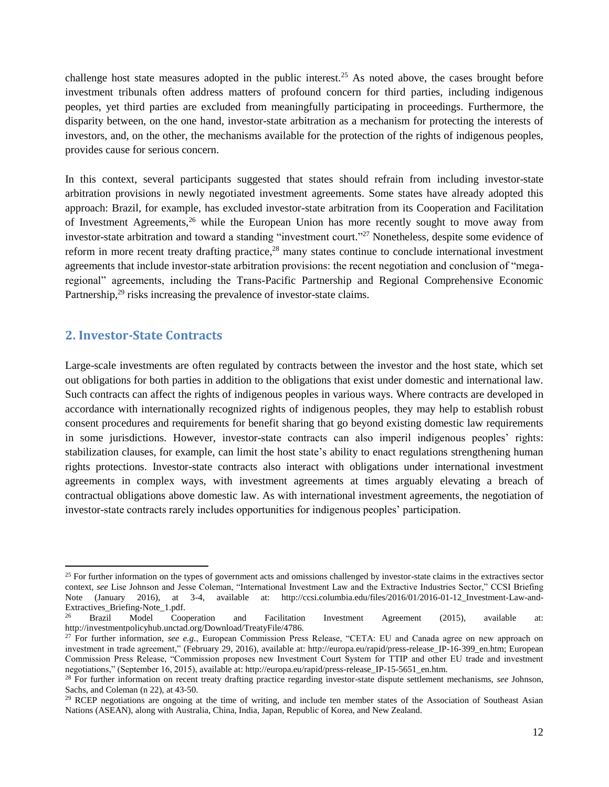challenge host state measures adopted in the public interest.<sup>25</sup> As noted above, the cases brought before investment tribunals often address matters of profound concern for third parties, including indigenous peoples, yet third parties are excluded from meaningfully participating in proceedings. Furthermore, the disparity between, on the one hand, investor-state arbitration as a mechanism for protecting the interests of investors, and, on the other, the mechanisms available for the protection of the rights of indigenous peoples, provides cause for serious concern.

In this context, several participants suggested that states should refrain from including investor-state arbitration provisions in newly negotiated investment agreements. Some states have already adopted this approach: Brazil, for example, has excluded investor-state arbitration from its Cooperation and Facilitation of Investment Agreements,<sup>26</sup> while the European Union has more recently sought to move away from investor-state arbitration and toward a standing "investment court." <sup>27</sup> Nonetheless, despite some evidence of reform in more recent treaty drafting practice,<sup>28</sup> many states continue to conclude international investment agreements that include investor-state arbitration provisions: the recent negotiation and conclusion of "megaregional" agreements, including the Trans-Pacific Partnership and Regional Comprehensive Economic Partnership,<sup>29</sup> risks increasing the prevalence of investor-state claims.

# <span id="page-11-0"></span>**2. Investor-State Contracts**

 $\overline{a}$ 

Large-scale investments are often regulated by contracts between the investor and the host state, which set out obligations for both parties in addition to the obligations that exist under domestic and international law. Such contracts can affect the rights of indigenous peoples in various ways. Where contracts are developed in accordance with internationally recognized rights of indigenous peoples, they may help to establish robust consent procedures and requirements for benefit sharing that go beyond existing domestic law requirements in some jurisdictions. However, investor-state contracts can also imperil indigenous peoples' rights: stabilization clauses, for example, can limit the host state's ability to enact regulations strengthening human rights protections. Investor-state contracts also interact with obligations under international investment agreements in complex ways, with investment agreements at times arguably elevating a breach of contractual obligations above domestic law. As with international investment agreements, the negotiation of investor-state contracts rarely includes opportunities for indigenous peoples' participation.

 $25$  For further information on the types of government acts and omissions challenged by investor-state claims in the extractives sector context, *see* Lise Johnson and Jesse Coleman, "International Investment Law and the Extractive Industries Sector," CCSI Briefing Note (January 2016), at 3-4, available at: http://ccsi.columbia.edu/files/2016/01/2016-01-12\_Investment-Law-and-Extractives\_Briefing-Note\_1.pdf.<br>26 Prezil Model Coord

<sup>26</sup> Brazil Model Cooperation and Facilitation Investment Agreement (2015), available at: http://investmentpolicyhub.unctad.org/Download/TreatyFile/4786.

<sup>27</sup> For further information, *see e.g.*, European Commission Press Release, "CETA: EU and Canada agree on new approach on investment in trade agreement," (February 29, 2016), available at: http://europa.eu/rapid/press-release IP-16-399 en.htm; European Commission Press Release, "Commission proposes new Investment Court System for TTIP and other EU trade and investment negotiations," (September 16, 2015), available at: http://europa.eu/rapid/press-release\_IP-15-5651\_en.htm.

<sup>28</sup> For further information on recent treaty drafting practice regarding investor-state dispute settlement mechanisms, *see* Johnson, Sachs, and Coleman (n 22), at 43-50.

<sup>&</sup>lt;sup>29</sup> RCEP negotiations are ongoing at the time of writing, and include ten member states of the Association of Southeast Asian Nations (ASEAN), along with Australia, China, India, Japan, Republic of Korea, and New Zealand.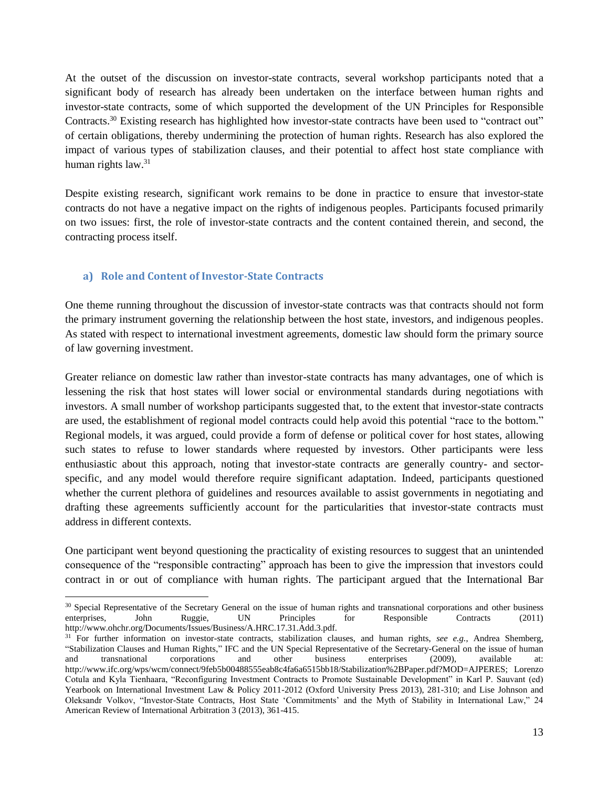At the outset of the discussion on investor-state contracts, several workshop participants noted that a significant body of research has already been undertaken on the interface between human rights and investor-state contracts, some of which supported the development of the UN Principles for Responsible Contracts.<sup>30</sup> Existing research has highlighted how investor-state contracts have been used to "contract out" of certain obligations, thereby undermining the protection of human rights. Research has also explored the impact of various types of stabilization clauses, and their potential to affect host state compliance with human rights law.<sup>31</sup>

Despite existing research, significant work remains to be done in practice to ensure that investor-state contracts do not have a negative impact on the rights of indigenous peoples. Participants focused primarily on two issues: first, the role of investor-state contracts and the content contained therein, and second, the contracting process itself.

# <span id="page-12-0"></span>**a) Role and Content of Investor-State Contracts**

One theme running throughout the discussion of investor-state contracts was that contracts should not form the primary instrument governing the relationship between the host state, investors, and indigenous peoples. As stated with respect to international investment agreements, domestic law should form the primary source of law governing investment.

Greater reliance on domestic law rather than investor-state contracts has many advantages, one of which is lessening the risk that host states will lower social or environmental standards during negotiations with investors. A small number of workshop participants suggested that, to the extent that investor-state contracts are used, the establishment of regional model contracts could help avoid this potential "race to the bottom." Regional models, it was argued, could provide a form of defense or political cover for host states, allowing such states to refuse to lower standards where requested by investors. Other participants were less enthusiastic about this approach, noting that investor-state contracts are generally country- and sectorspecific, and any model would therefore require significant adaptation. Indeed, participants questioned whether the current plethora of guidelines and resources available to assist governments in negotiating and drafting these agreements sufficiently account for the particularities that investor-state contracts must address in different contexts.

One participant went beyond questioning the practicality of existing resources to suggest that an unintended consequence of the "responsible contracting" approach has been to give the impression that investors could contract in or out of compliance with human rights. The participant argued that the International Bar

 $\overline{a}$ <sup>30</sup> Special Representative of the Secretary General on the issue of human rights and transnational corporations and other business enterprises, John Ruggie, UN Principles for Responsible Contracts (2011) http://www.ohchr.org/Documents/Issues/Business/A.HRC.17.31.Add.3.pdf.

<sup>31</sup> For further information on investor-state contracts, stabilization clauses, and human rights, *see e.g.*, Andrea Shemberg, "Stabilization Clauses and Human Rights," IFC and the UN Special Representative of the Secretary-General on the issue of human and transnational corporations and other business enterprises (2009), available at: http://www.ifc.org/wps/wcm/connect/9feb5b00488555eab8c4fa6a6515bb18/Stabilization%2BPaper.pdf?MOD=AJPERES; Lorenzo Cotula and Kyla Tienhaara, "Reconfiguring Investment Contracts to Promote Sustainable Development" in Karl P. Sauvant (ed) Yearbook on International Investment Law & Policy 2011-2012 (Oxford University Press 2013), 281-310; and Lise Johnson and Oleksandr Volkov, "Investor-State Contracts, Host State 'Commitments' and the Myth of Stability in International Law," 24 American Review of International Arbitration 3 (2013), 361-415.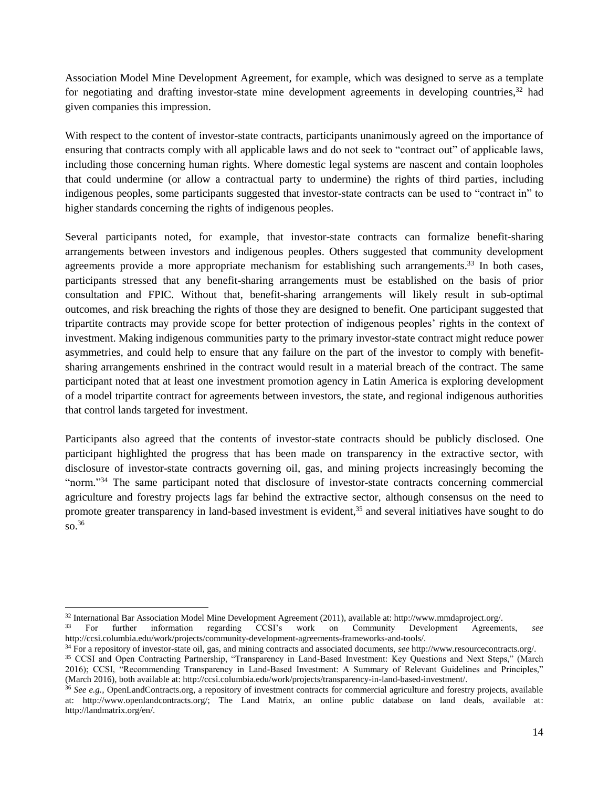Association Model Mine Development Agreement, for example, which was designed to serve as a template for negotiating and drafting investor-state mine development agreements in developing countries,<sup>32</sup> had given companies this impression.

With respect to the content of investor-state contracts, participants unanimously agreed on the importance of ensuring that contracts comply with all applicable laws and do not seek to "contract out" of applicable laws, including those concerning human rights. Where domestic legal systems are nascent and contain loopholes that could undermine (or allow a contractual party to undermine) the rights of third parties, including indigenous peoples, some participants suggested that investor-state contracts can be used to "contract in" to higher standards concerning the rights of indigenous peoples.

Several participants noted, for example, that investor-state contracts can formalize benefit-sharing arrangements between investors and indigenous peoples. Others suggested that community development agreements provide a more appropriate mechanism for establishing such arrangements.<sup>33</sup> In both cases, participants stressed that any benefit-sharing arrangements must be established on the basis of prior consultation and FPIC. Without that, benefit-sharing arrangements will likely result in sub-optimal outcomes, and risk breaching the rights of those they are designed to benefit. One participant suggested that tripartite contracts may provide scope for better protection of indigenous peoples' rights in the context of investment. Making indigenous communities party to the primary investor-state contract might reduce power asymmetries, and could help to ensure that any failure on the part of the investor to comply with benefitsharing arrangements enshrined in the contract would result in a material breach of the contract. The same participant noted that at least one investment promotion agency in Latin America is exploring development of a model tripartite contract for agreements between investors, the state, and regional indigenous authorities that control lands targeted for investment.

Participants also agreed that the contents of investor-state contracts should be publicly disclosed. One participant highlighted the progress that has been made on transparency in the extractive sector, with disclosure of investor-state contracts governing oil, gas, and mining projects increasingly becoming the "norm."<sup>34</sup> The same participant noted that disclosure of investor-state contracts concerning commercial agriculture and forestry projects lags far behind the extractive sector, although consensus on the need to promote greater transparency in land-based investment is evident,<sup>35</sup> and several initiatives have sought to do so. 36

 $\overline{a}$ 

<sup>&</sup>lt;sup>32</sup> International Bar Association Model Mine Development Agreement (2011), available at: http://www.mmdaproject.org/.<br><sup>33</sup> For further information regarding CCSI's work on Community Development Agreement

<sup>33</sup> For further information regarding CCSI's work on Community Development Agreements, *see*  http://ccsi.columbia.edu/work/projects/community-development-agreements-frameworks-and-tools/.

<sup>34</sup> For a repository of investor-state oil, gas, and mining contracts and associated documents, *see* http://www.resourcecontracts.org/. <sup>35</sup> CCSI and Open Contracting Partnership, "Transparency in Land-Based Investment: Key Questions and Next Steps," (March 2016); CCSI, "Recommending Transparency in Land-Based Investment: A Summary of Relevant Guidelines and Principles," (March 2016), both available at: http://ccsi.columbia.edu/work/projects/transparency-in-land-based-investment/.

<sup>36</sup> *See e.g.,* OpenLandContracts.org, a repository of investment contracts for commercial agriculture and forestry projects, available at: http://www.openlandcontracts.org/; The Land Matrix, an online public database on land deals, available at: http://landmatrix.org/en/.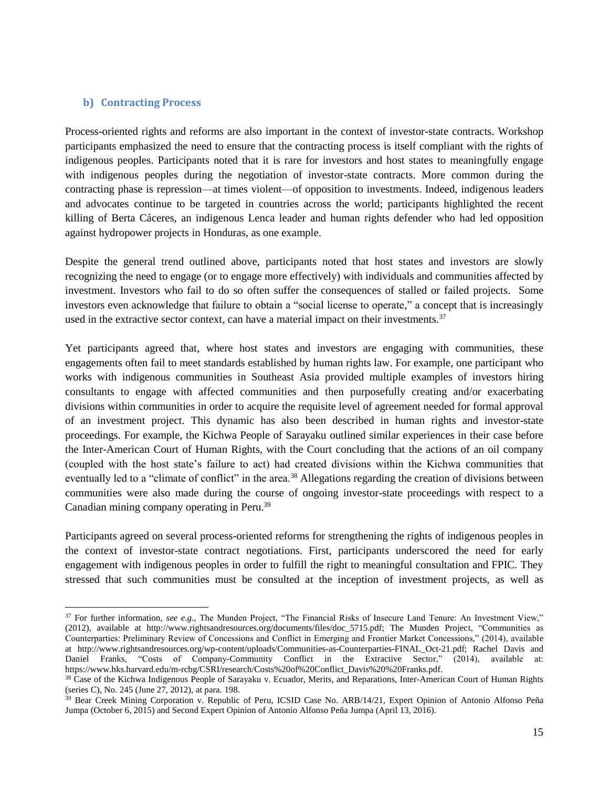#### <span id="page-14-0"></span>**b) Contracting Process**

 $\overline{a}$ 

Process-oriented rights and reforms are also important in the context of investor-state contracts. Workshop participants emphasized the need to ensure that the contracting process is itself compliant with the rights of indigenous peoples. Participants noted that it is rare for investors and host states to meaningfully engage with indigenous peoples during the negotiation of investor-state contracts. More common during the contracting phase is repression—at times violent—of opposition to investments. Indeed, indigenous leaders and advocates continue to be targeted in countries across the world; participants highlighted the recent killing of Berta Cáceres, an indigenous Lenca leader and human rights defender who had led opposition against hydropower projects in Honduras, as one example.

Despite the general trend outlined above, participants noted that host states and investors are slowly recognizing the need to engage (or to engage more effectively) with individuals and communities affected by investment. Investors who fail to do so often suffer the consequences of stalled or failed projects. Some investors even acknowledge that failure to obtain a "social license to operate," a concept that is increasingly used in the extractive sector context, can have a material impact on their investments.<sup>37</sup>

Yet participants agreed that, where host states and investors are engaging with communities, these engagements often fail to meet standards established by human rights law. For example, one participant who works with indigenous communities in Southeast Asia provided multiple examples of investors hiring consultants to engage with affected communities and then purposefully creating and/or exacerbating divisions within communities in order to acquire the requisite level of agreement needed for formal approval of an investment project. This dynamic has also been described in human rights and investor-state proceedings. For example, the Kichwa People of Sarayaku outlined similar experiences in their case before the Inter-American Court of Human Rights, with the Court concluding that the actions of an oil company (coupled with the host state's failure to act) had created divisions within the Kichwa communities that eventually led to a "climate of conflict" in the area.<sup>38</sup> Allegations regarding the creation of divisions between communities were also made during the course of ongoing investor-state proceedings with respect to a Canadian mining company operating in Peru. 39

Participants agreed on several process-oriented reforms for strengthening the rights of indigenous peoples in the context of investor-state contract negotiations. First, participants underscored the need for early engagement with indigenous peoples in order to fulfill the right to meaningful consultation and FPIC. They stressed that such communities must be consulted at the inception of investment projects, as well as

<sup>37</sup> For further information, *see e.g.,* The Munden Project, "The Financial Risks of Insecure Land Tenure: An Investment View," (2012), available at http://www.rightsandresources.org/documents/files/doc\_5715.pdf; The Munden Project, "Communities as Counterparties: Preliminary Review of Concessions and Conflict in Emerging and Frontier Market Concessions," (2014), available at http://www.rightsandresources.org/wp-content/uploads/Communities-as-Counterparties-FINAL\_Oct-21.pdf; Rachel Davis and Daniel Franks, "Costs of Company-Community Conflict in the Extractive Sector," (2014), available at: https://www.hks.harvard.edu/m-rcbg/CSRI/research/Costs%20of%20Conflict\_Davis%20%20Franks.pdf.

<sup>&</sup>lt;sup>38</sup> Case of the Kichwa Indigenous People of Sarayaku v. Ecuador, Merits, and Reparations, Inter-American Court of Human Rights (series C), No. 245 (June 27, 2012), at para. 198.

<sup>&</sup>lt;sup>39</sup> Bear Creek Mining Corporation v. Republic of Peru, ICSID Case No. ARB/14/21, Expert Opinion of Antonio Alfonso Peña Jumpa (October 6, 2015) and Second Expert Opinion of Antonio Alfonso Peña Jumpa (April 13, 2016).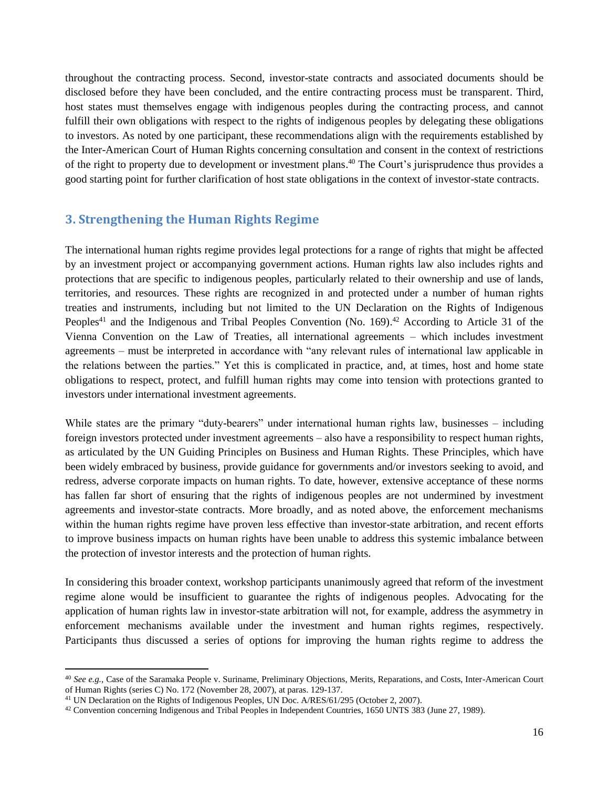throughout the contracting process. Second, investor-state contracts and associated documents should be disclosed before they have been concluded, and the entire contracting process must be transparent. Third, host states must themselves engage with indigenous peoples during the contracting process, and cannot fulfill their own obligations with respect to the rights of indigenous peoples by delegating these obligations to investors. As noted by one participant, these recommendations align with the requirements established by the Inter-American Court of Human Rights concerning consultation and consent in the context of restrictions of the right to property due to development or investment plans. <sup>40</sup> The Court's jurisprudence thus provides a good starting point for further clarification of host state obligations in the context of investor-state contracts.

# <span id="page-15-0"></span>**3. Strengthening the Human Rights Regime**

The international human rights regime provides legal protections for a range of rights that might be affected by an investment project or accompanying government actions. Human rights law also includes rights and protections that are specific to indigenous peoples, particularly related to their ownership and use of lands, territories, and resources. These rights are recognized in and protected under a number of human rights treaties and instruments, including but not limited to the UN Declaration on the Rights of Indigenous Peoples<sup>41</sup> and the Indigenous and Tribal Peoples Convention (No. 169).<sup>42</sup> According to Article 31 of the Vienna Convention on the Law of Treaties, all international agreements – which includes investment agreements – must be interpreted in accordance with "any relevant rules of international law applicable in the relations between the parties." Yet this is complicated in practice, and, at times, host and home state obligations to respect, protect, and fulfill human rights may come into tension with protections granted to investors under international investment agreements.

While states are the primary "duty-bearers" under international human rights law, businesses – including foreign investors protected under investment agreements – also have a responsibility to respect human rights, as articulated by the UN Guiding Principles on Business and Human Rights. These Principles, which have been widely embraced by business, provide guidance for governments and/or investors seeking to avoid, and redress, adverse corporate impacts on human rights. To date, however, extensive acceptance of these norms has fallen far short of ensuring that the rights of indigenous peoples are not undermined by investment agreements and investor-state contracts. More broadly, and as noted above, the enforcement mechanisms within the human rights regime have proven less effective than investor-state arbitration, and recent efforts to improve business impacts on human rights have been unable to address this systemic imbalance between the protection of investor interests and the protection of human rights.

In considering this broader context, workshop participants unanimously agreed that reform of the investment regime alone would be insufficient to guarantee the rights of indigenous peoples. Advocating for the application of human rights law in investor-state arbitration will not, for example, address the asymmetry in enforcement mechanisms available under the investment and human rights regimes, respectively. Participants thus discussed a series of options for improving the human rights regime to address the

 $\overline{a}$ 

<sup>40</sup> *See e.g.,* Case of the Saramaka People v. Suriname, Preliminary Objections, Merits, Reparations, and Costs, Inter-American Court of Human Rights (series C) No. 172 (November 28, 2007), at paras. 129-137.

<sup>41</sup> UN Declaration on the Rights of Indigenous Peoples, UN Doc. A/RES/61/295 (October 2, 2007).

<sup>&</sup>lt;sup>42</sup> Convention concerning Indigenous and Tribal Peoples in Independent Countries, 1650 UNTS 383 (June 27, 1989).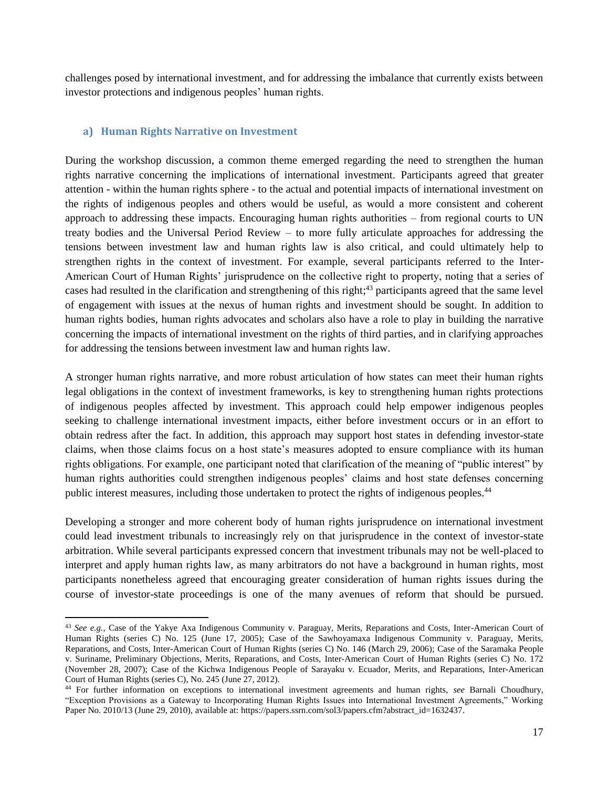challenges posed by international investment, and for addressing the imbalance that currently exists between investor protections and indigenous peoples' human rights.

#### <span id="page-16-0"></span>**a) Human Rights Narrative on Investment**

 $\overline{a}$ 

During the workshop discussion, a common theme emerged regarding the need to strengthen the human rights narrative concerning the implications of international investment. Participants agreed that greater attention - within the human rights sphere - to the actual and potential impacts of international investment on the rights of indigenous peoples and others would be useful, as would a more consistent and coherent approach to addressing these impacts. Encouraging human rights authorities – from regional courts to UN treaty bodies and the Universal Period Review – to more fully articulate approaches for addressing the tensions between investment law and human rights law is also critical, and could ultimately help to strengthen rights in the context of investment. For example, several participants referred to the Inter-American Court of Human Rights' jurisprudence on the collective right to property, noting that a series of cases had resulted in the clarification and strengthening of this right; <sup>43</sup> participants agreed that the same level of engagement with issues at the nexus of human rights and investment should be sought. In addition to human rights bodies, human rights advocates and scholars also have a role to play in building the narrative concerning the impacts of international investment on the rights of third parties, and in clarifying approaches for addressing the tensions between investment law and human rights law.

A stronger human rights narrative, and more robust articulation of how states can meet their human rights legal obligations in the context of investment frameworks, is key to strengthening human rights protections of indigenous peoples affected by investment. This approach could help empower indigenous peoples seeking to challenge international investment impacts, either before investment occurs or in an effort to obtain redress after the fact. In addition, this approach may support host states in defending investor-state claims, when those claims focus on a host state's measures adopted to ensure compliance with its human rights obligations. For example, one participant noted that clarification of the meaning of "public interest" by human rights authorities could strengthen indigenous peoples' claims and host state defenses concerning public interest measures, including those undertaken to protect the rights of indigenous peoples.<sup>44</sup>

Developing a stronger and more coherent body of human rights jurisprudence on international investment could lead investment tribunals to increasingly rely on that jurisprudence in the context of investor-state arbitration. While several participants expressed concern that investment tribunals may not be well-placed to interpret and apply human rights law, as many arbitrators do not have a background in human rights, most participants nonetheless agreed that encouraging greater consideration of human rights issues during the course of investor-state proceedings is one of the many avenues of reform that should be pursued.

<sup>43</sup> See e.g., Case of the Yakye Axa Indigenous Community v. Paraguay, Merits, Reparations and Costs, Inter-American Court of Human Rights (series C) No. 125 (June 17, 2005); Case of the Sawhoyamaxa Indigenous Community v. Paraguay, Merits, Reparations, and Costs, Inter-American Court of Human Rights (series C) No. 146 (March 29, 2006); Case of the Saramaka People v. Suriname, Preliminary Objections, Merits, Reparations, and Costs, Inter-American Court of Human Rights (series C) No. 172 (November 28, 2007); Case of the Kichwa Indigenous People of Sarayaku v. Ecuador, Merits, and Reparations, Inter-American Court of Human Rights (series C), No. 245 (June 27, 2012).

<sup>44</sup> For further information on exceptions to international investment agreements and human rights, *see* Barnali Choudhury, "Exception Provisions as a Gateway to Incorporating Human Rights Issues into International Investment Agreements," Working Paper No. 2010/13 (June 29, 2010), available at: https://papers.ssrn.com/sol3/papers.cfm?abstract\_id=1632437.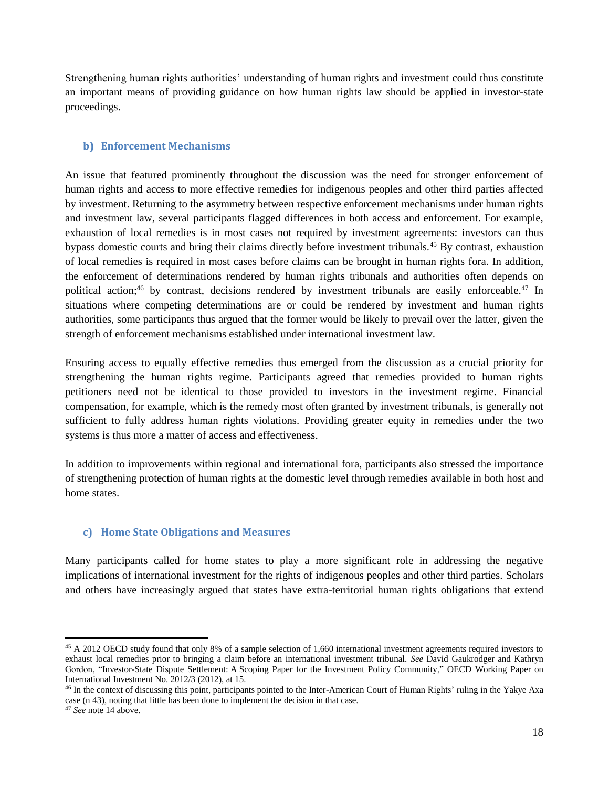Strengthening human rights authorities' understanding of human rights and investment could thus constitute an important means of providing guidance on how human rights law should be applied in investor-state proceedings.

#### <span id="page-17-0"></span>**b) Enforcement Mechanisms**

An issue that featured prominently throughout the discussion was the need for stronger enforcement of human rights and access to more effective remedies for indigenous peoples and other third parties affected by investment. Returning to the asymmetry between respective enforcement mechanisms under human rights and investment law, several participants flagged differences in both access and enforcement. For example, exhaustion of local remedies is in most cases not required by investment agreements: investors can thus bypass domestic courts and bring their claims directly before investment tribunals.<sup>45</sup> By contrast, exhaustion of local remedies is required in most cases before claims can be brought in human rights fora. In addition, the enforcement of determinations rendered by human rights tribunals and authorities often depends on political action;<sup>46</sup> by contrast, decisions rendered by investment tribunals are easily enforceable.<sup>47</sup> In situations where competing determinations are or could be rendered by investment and human rights authorities, some participants thus argued that the former would be likely to prevail over the latter, given the strength of enforcement mechanisms established under international investment law.

Ensuring access to equally effective remedies thus emerged from the discussion as a crucial priority for strengthening the human rights regime. Participants agreed that remedies provided to human rights petitioners need not be identical to those provided to investors in the investment regime. Financial compensation, for example, which is the remedy most often granted by investment tribunals, is generally not sufficient to fully address human rights violations. Providing greater equity in remedies under the two systems is thus more a matter of access and effectiveness.

In addition to improvements within regional and international fora, participants also stressed the importance of strengthening protection of human rights at the domestic level through remedies available in both host and home states.

#### <span id="page-17-1"></span>**c) Home State Obligations and Measures**

Many participants called for home states to play a more significant role in addressing the negative implications of international investment for the rights of indigenous peoples and other third parties. Scholars and others have increasingly argued that states have extra-territorial human rights obligations that extend

 $\overline{a}$ 

<sup>&</sup>lt;sup>45</sup> A 2012 OECD study found that only 8% of a sample selection of 1,660 international investment agreements required investors to exhaust local remedies prior to bringing a claim before an international investment tribunal. *See* David Gaukrodger and Kathryn Gordon, "Investor-State Dispute Settlement: A Scoping Paper for the Investment Policy Community," OECD Working Paper on International Investment No. 2012/3 (2012), at 15.

<sup>46</sup> In the context of discussing this point, participants pointed to the Inter-American Court of Human Rights' ruling in the Yakye Axa case (n 43), noting that little has been done to implement the decision in that case.

<sup>47</sup> *See* note 14 above.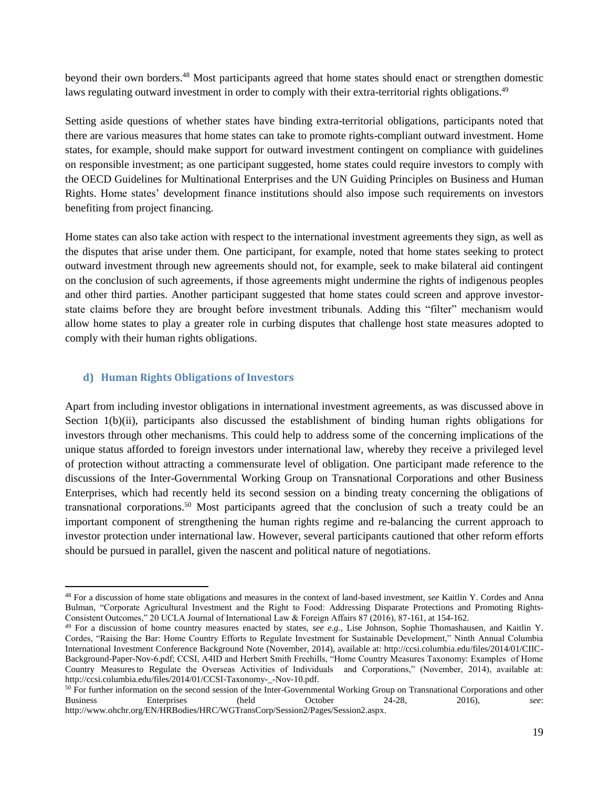beyond their own borders.<sup>48</sup> Most participants agreed that home states should enact or strengthen domestic laws regulating outward investment in order to comply with their extra-territorial rights obligations.<sup>49</sup>

Setting aside questions of whether states have binding extra-territorial obligations, participants noted that there are various measures that home states can take to promote rights-compliant outward investment. Home states, for example, should make support for outward investment contingent on compliance with guidelines on responsible investment; as one participant suggested, home states could require investors to comply with the OECD Guidelines for Multinational Enterprises and the UN Guiding Principles on Business and Human Rights. Home states' development finance institutions should also impose such requirements on investors benefiting from project financing.

Home states can also take action with respect to the international investment agreements they sign, as well as the disputes that arise under them. One participant, for example, noted that home states seeking to protect outward investment through new agreements should not, for example, seek to make bilateral aid contingent on the conclusion of such agreements, if those agreements might undermine the rights of indigenous peoples and other third parties. Another participant suggested that home states could screen and approve investorstate claims before they are brought before investment tribunals. Adding this "filter" mechanism would allow home states to play a greater role in curbing disputes that challenge host state measures adopted to comply with their human rights obligations.

#### <span id="page-18-0"></span>**d) Human Rights Obligations of Investors**

 $\overline{a}$ 

Apart from including investor obligations in international investment agreements, as was discussed above in Section 1(b)(ii), participants also discussed the establishment of binding human rights obligations for investors through other mechanisms. This could help to address some of the concerning implications of the unique status afforded to foreign investors under international law, whereby they receive a privileged level of protection without attracting a commensurate level of obligation. One participant made reference to the discussions of the Inter-Governmental Working Group on Transnational Corporations and other Business Enterprises, which had recently held its second session on a binding treaty concerning the obligations of transnational corporations.<sup>50</sup> Most participants agreed that the conclusion of such a treaty could be an important component of strengthening the human rights regime and re-balancing the current approach to investor protection under international law. However, several participants cautioned that other reform efforts should be pursued in parallel, given the nascent and political nature of negotiations.

<sup>48</sup> For a discussion of home state obligations and measures in the context of land-based investment, *see* Kaitlin Y. Cordes and Anna Bulman, "Corporate Agricultural Investment and the Right to Food: Addressing Disparate Protections and Promoting Rights-Consistent Outcomes," 20 UCLA Journal of International Law & Foreign Affairs 87 (2016), 87-161, at 154-162.

<sup>49</sup> For a discussion of home country measures enacted by states, *see e.g.,* Lise Johnson, Sophie Thomashausen, and Kaitlin Y. Cordes, "Raising the Bar: Home Country Efforts to Regulate Investment for Sustainable Development," Ninth Annual Columbia International Investment Conference Background Note (November, 2014), available at: http://ccsi.columbia.edu/files/2014/01/CIIC-Background-Paper-Nov-6.pdf; CCSI, A4ID and Herbert Smith Freehills, "Home Country Measures Taxonomy: Examples of Home Country Measuresto Regulate the Overseas Activities of Individuals and Corporations," (November, 2014), available at: http://ccsi.columbia.edu/files/2014/01/CCSI-Taxonomy-\_-Nov-10.pdf.

<sup>&</sup>lt;sup>50</sup> For further information on the second session of the Inter-Governmental Working Group on Transnational Corporations and other Business Enterprises (held October 24-28, 2016), *see*: http://www.ohchr.org/EN/HRBodies/HRC/WGTransCorp/Session2/Pages/Session2.aspx.